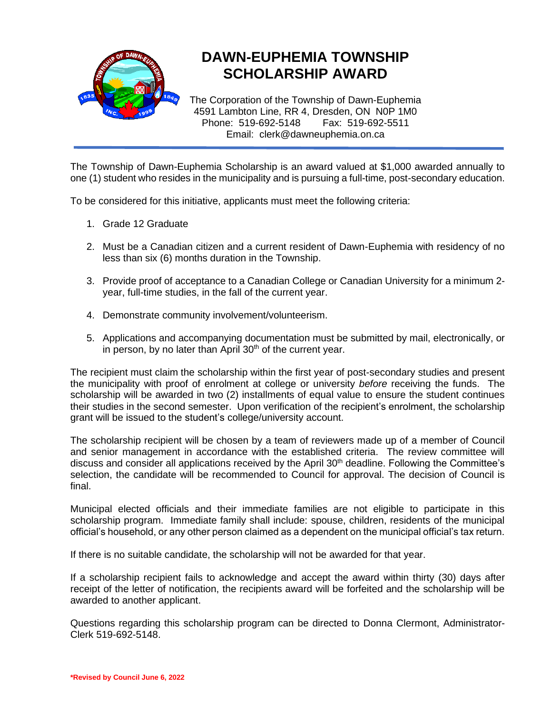

## **DAWN-EUPHEMIA TOWNSHIP SCHOLARSHIP AWARD**

The Corporation of the Township of Dawn-Euphemia 4591 Lambton Line, RR 4, Dresden, ON N0P 1M0 Phone: 519-692-5148 Fax: 519-692-5511 Email: clerk@dawneuphemia.on.ca

The Township of Dawn-Euphemia Scholarship is an award valued at \$1,000 awarded annually to one (1) student who resides in the municipality and is pursuing a full-time, post-secondary education.

To be considered for this initiative, applicants must meet the following criteria:

- 1. Grade 12 Graduate
- 2. Must be a Canadian citizen and a current resident of Dawn-Euphemia with residency of no less than six (6) months duration in the Township.
- 3. Provide proof of acceptance to a Canadian College or Canadian University for a minimum 2 year, full-time studies, in the fall of the current year.
- 4. Demonstrate community involvement/volunteerism.
- 5. Applications and accompanying documentation must be submitted by mail, electronically, or in person, by no later than April  $30<sup>th</sup>$  of the current year.

The recipient must claim the scholarship within the first year of post-secondary studies and present the municipality with proof of enrolment at college or university *before* receiving the funds. The scholarship will be awarded in two (2) installments of equal value to ensure the student continues their studies in the second semester. Upon verification of the recipient's enrolment, the scholarship grant will be issued to the student's college/university account.

The scholarship recipient will be chosen by a team of reviewers made up of a member of Council and senior management in accordance with the established criteria. The review committee will discuss and consider all applications received by the April 30<sup>th</sup> deadline. Following the Committee's selection, the candidate will be recommended to Council for approval. The decision of Council is final.

Municipal elected officials and their immediate families are not eligible to participate in this scholarship program. Immediate family shall include: spouse, children, residents of the municipal official's household, or any other person claimed as a dependent on the municipal official's tax return.

If there is no suitable candidate, the scholarship will not be awarded for that year.

If a scholarship recipient fails to acknowledge and accept the award within thirty (30) days after receipt of the letter of notification, the recipients award will be forfeited and the scholarship will be awarded to another applicant.

Questions regarding this scholarship program can be directed to Donna Clermont, Administrator-Clerk 519-692-5148.